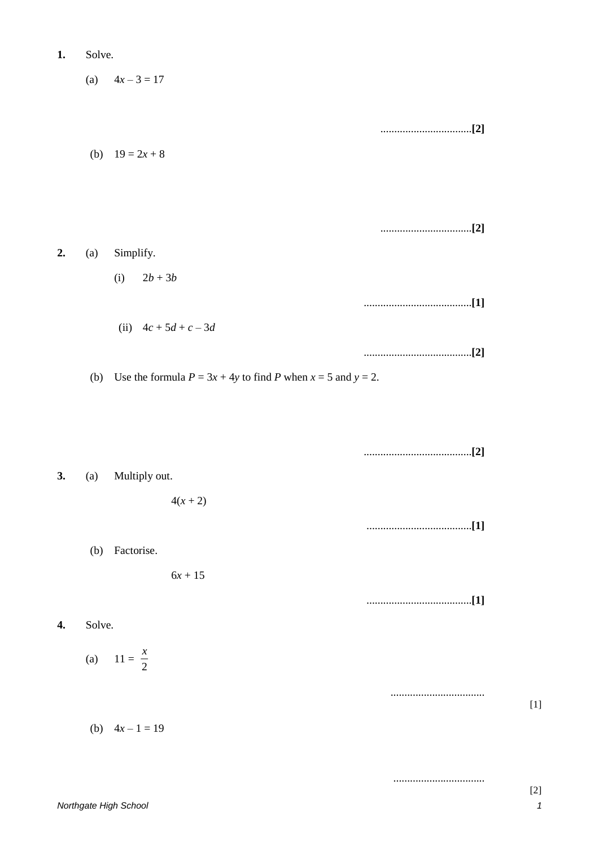|    |        | (a) $4x-3=17$                                                      |  |
|----|--------|--------------------------------------------------------------------|--|
|    |        |                                                                    |  |
|    |        | (b) $19 = 2x + 8$                                                  |  |
|    |        |                                                                    |  |
| 2. | (a)    | Simplify.                                                          |  |
|    |        | $2b+3b$<br>(i)                                                     |  |
|    |        | (ii) $4c + 5d + c - 3d$                                            |  |
|    | (b)    | Use the formula $P = 3x + 4y$ to find P when $x = 5$ and $y = 2$ . |  |
|    |        |                                                                    |  |
|    |        |                                                                    |  |
| 3. | (a)    | Multiply out.                                                      |  |
|    |        | $4(x + 2)$                                                         |  |
|    |        |                                                                    |  |
|    |        | (b) Factorise.                                                     |  |
|    |        | $6x + 15$                                                          |  |
|    |        |                                                                    |  |
| 4. | Solve. |                                                                    |  |
|    |        | (a) $11 = \frac{x}{2}$                                             |  |
|    |        |                                                                    |  |
|    |        | (b) $4x-1=19$                                                      |  |

 $1.$ 

Solve.

.................................

 $[1]$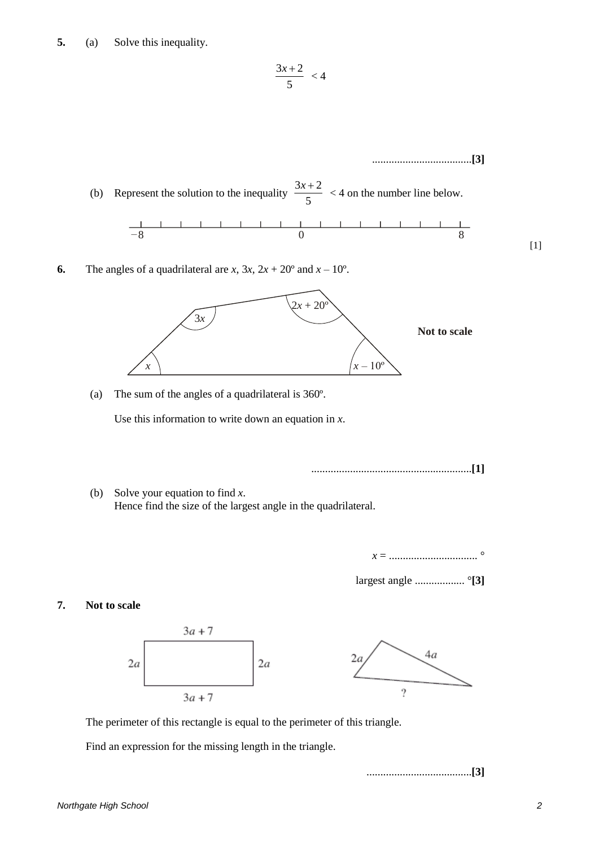**5.** (a) Solve this inequality.

$$
\frac{3x+2}{5} < 4
$$

....................................**[3]**  $3x + 2$ (b) Represent the solution to the inequality  $\frac{3n+2}{5}$  < 4 on the number line below. –8 0 8 [1] **6.** The angles of a quadrilateral are *x*,  $3x$ ,  $2x + 20^{\circ}$  and  $x - 10^{\circ}$ .  $\overline{3}x$  $2x + 20^{\circ}$  $3x$ **Not to scale**   $x - 10^{\circ}$ *x*  (a) The sum of the angles of a quadrilateral is 360º. Use this information to write down an equation in *x*. ..........................................................**[1]** (b) Solve your equation to find *x*. Hence find the size of the largest angle in the quadrilateral. *x* = ................................ ° largest angle .................. °**[3] 7. Not to scale**  $3a + 7$ 4а  $2a$  $2a$  $2a$ 9  $3a + 7$ The perimeter of this rectangle is equal to the perimeter of this triangle.

Find an expression for the missing length in the triangle.

......................................**[3]**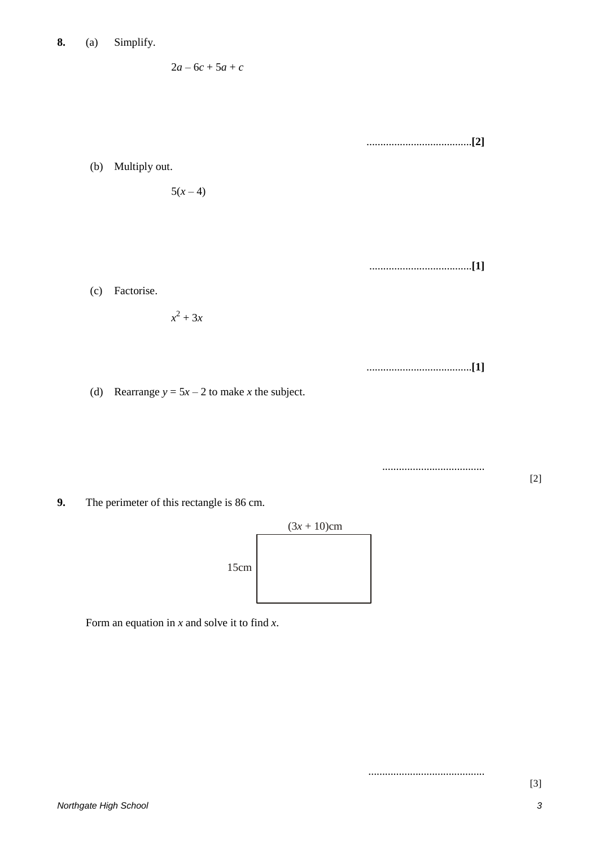$2a - 6c + 5a + c$ 

......................................**[2]** (b) Multiply out.  $5(x-4)$ .....................................**[1]** (c) Factorise.  $x^2 + 3x$ ......................................**[1]** (d) Rearrange  $y = 5x - 2$  to make *x* the subject.

.....................................

..........................................

**9.** The perimeter of this rectangle is 86 cm.



Form an equation in *x* and solve it to find *x*.

[2]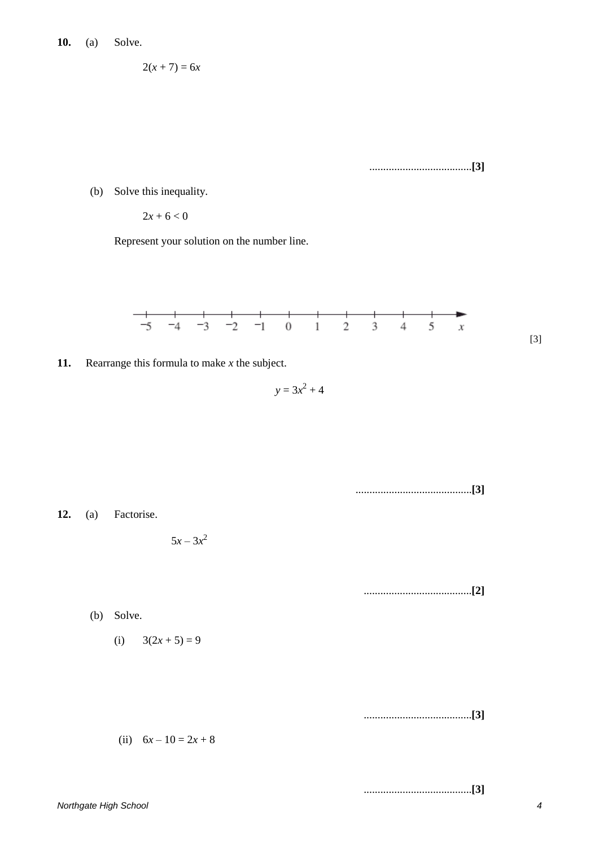$$
2(x+7)=6x
$$

.....................................**[3]**

(b) Solve this inequality.

 $2x + 6 < 0$ 

Represent your solution on the number line.



**11.** Rearrange this formula to make *x* the subject.

 $y = 3x^2 + 4$ 

..........................................**[3] 12.** (a) Factorise.  $5x - 3x^2$ .......................................**[2]** (b) Solve. (i)  $3(2x + 5) = 9$ .......................................**[3]** (ii)  $6x - 10 = 2x + 8$ .......................................**[3]**

*Northgate High School 4*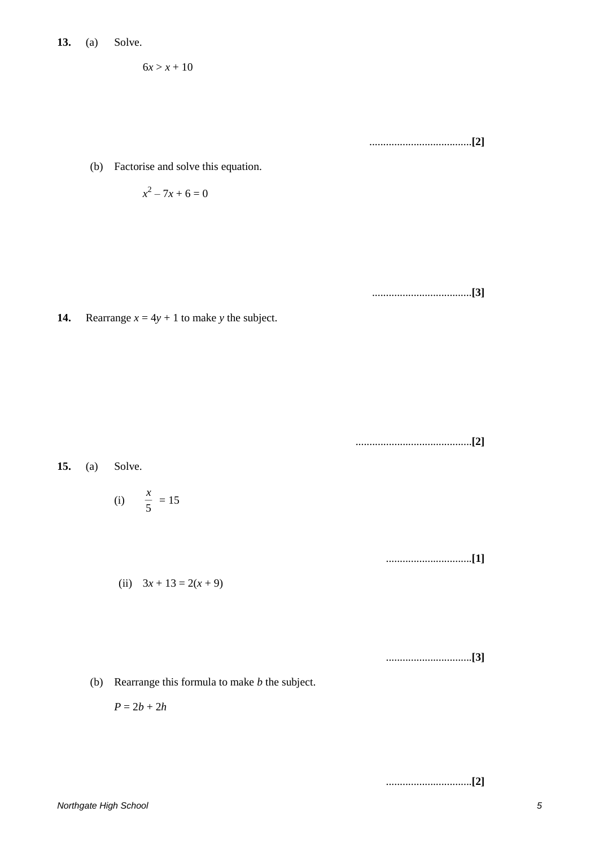$$
6x > x + 10
$$

.....................................**[2]**

(b) Factorise and solve this equation.

$$
x^2-7x+6=0
$$

....................................**[3]**

**14.** Rearrange  $x = 4y + 1$  to make *y* the subject.

..........................................**[2]**

$$
15. (a) Solve.
$$

(i) 
$$
\frac{x}{5} = 15
$$

...............................**[1]**

(ii) 
$$
3x + 13 = 2(x + 9)
$$

...............................**[3]**

(b) Rearrange this formula to make *b* the subject.

$$
P=2b+2h
$$

...............................**[2]**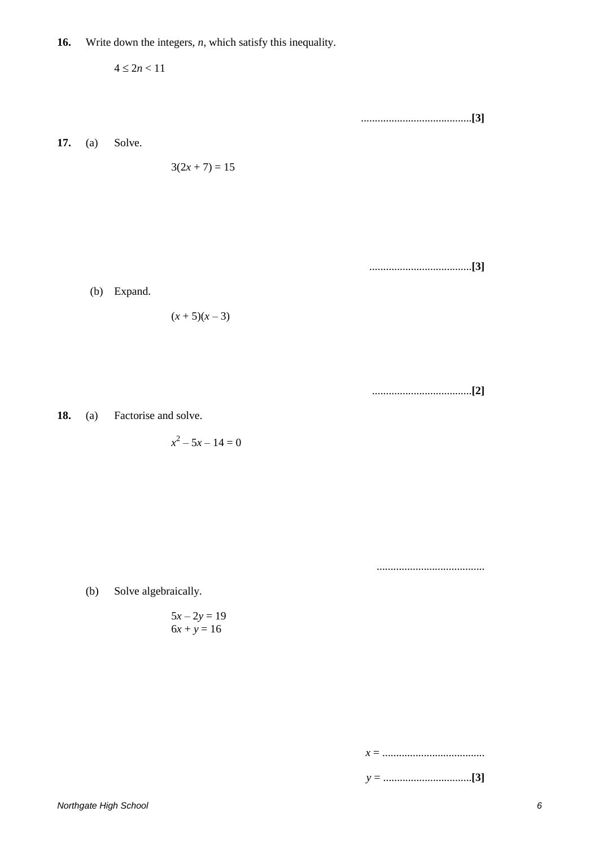$4\leq 2n<11$ ........................................**[3] 17.** (a) Solve.  $3(2x + 7) = 15$ 

.....................................**[3]**

(b) Expand.

$$
(x+5)(x-3)
$$

....................................**[2]**

**18.** (a) Factorise and solve.

 $x^2 - 5x - 14 = 0$ 

.......................................

(b) Solve algebraically.

$$
5x - 2y = 19
$$

$$
6x + y = 16
$$

*x* = .....................................

*y* = ................................**[3]**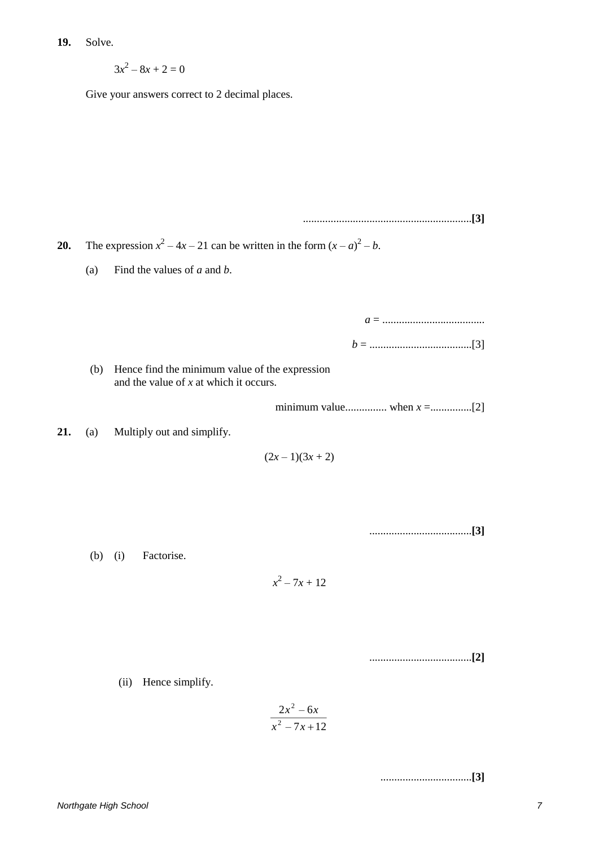**19.** Solve.

 $3x^2 - 8x + 2 = 0$ 

Give your answers correct to 2 decimal places.

.............................................................**[3] 20.** The expression  $x^2 - 4x - 21$  can be written in the form  $(x - a)^2 - b$ . (a) Find the values of *a* and *b*. *a* = ..................................... *b* = .....................................[3] (b) Hence find the minimum value of the expression and the value of *x* at which it occurs. minimum value............... when *x* =...............[2] **21.** (a) Multiply out and simplify.  $(2x-1)(3x+2)$ .....................................**[3]** (b) (i) Factorise.  $x^2 - 7x + 12$ .....................................**[2]**

(ii) Hence simplify.

$$
\frac{2x^2-6x}{x^2-7x+12}
$$

.................................**[3]**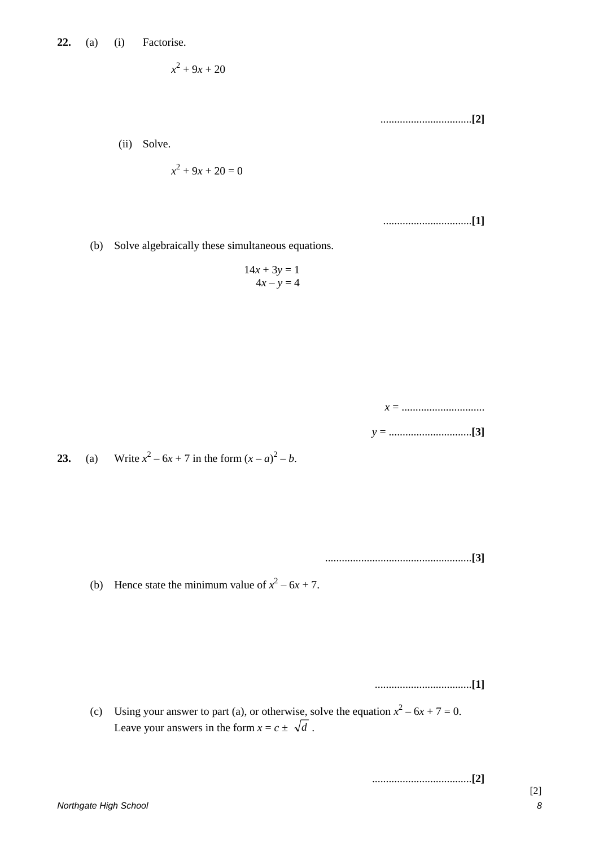$$
x^2+9x+20
$$

.................................**[2]**

(ii) Solve.

$$
x^2+9x+20=0
$$

................................**[1]**

(b) Solve algebraically these simultaneous equations.

$$
14x + 3y = 1
$$
  

$$
4x - y = 4
$$

| ∼ |  |  |
|---|--|--|
|   |  |  |

*y* = ..............................**[3]**

**23.** (a) Write  $x^2 - 6x + 7$  in the form  $(x - a)^2 - b$ .

.....................................................**[3]**

(b) Hence state the minimum value of  $x^2 - 6x + 7$ .

...................................**[1]**

(c) Using your answer to part (a), or otherwise, solve the equation  $x^2 - 6x + 7 = 0$ . Leave your answers in the form  $x = c \pm \sqrt{d}$ .

....................................**[2]**